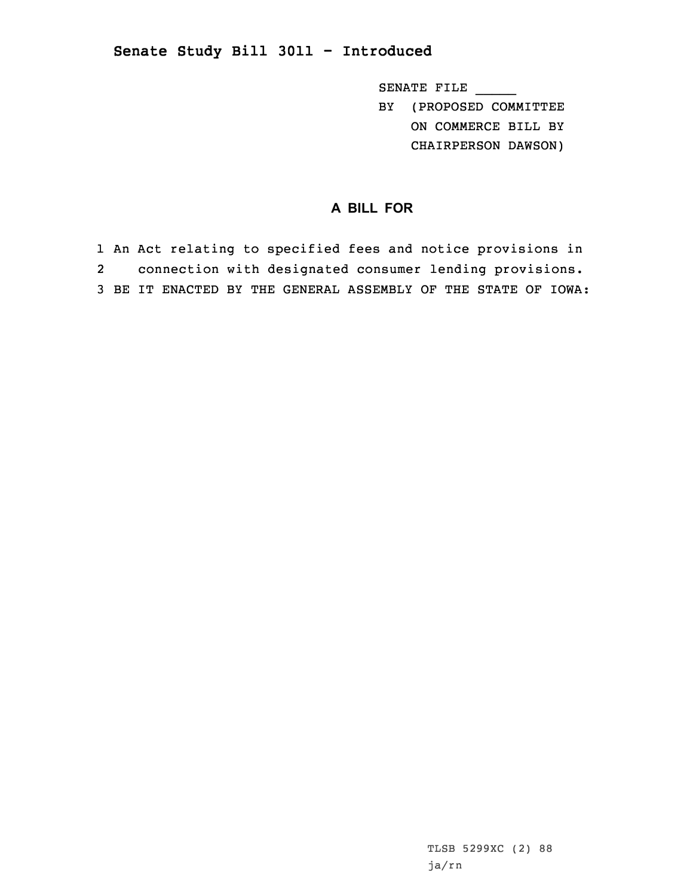## **Senate Study Bill 3011 - Introduced**

SENATE FILE \_\_\_\_\_ BY (PROPOSED COMMITTEE

ON COMMERCE BILL BY

CHAIRPERSON DAWSON)

## **A BILL FOR**

1 An Act relating to specified fees and notice provisions in 2 connection with designated consumer lending provisions. 3 BE IT ENACTED BY THE GENERAL ASSEMBLY OF THE STATE OF IOWA: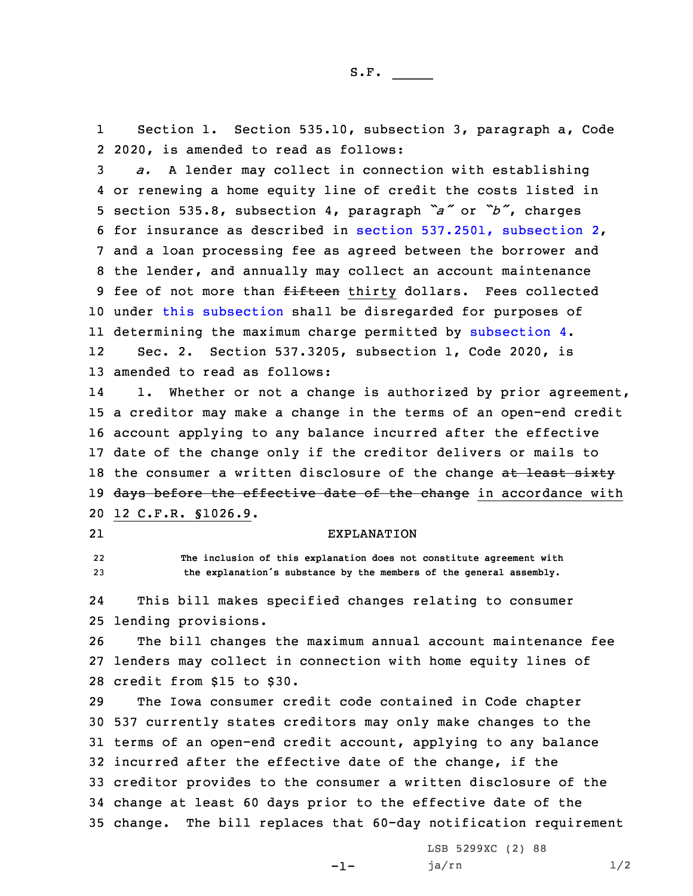1 Section 1. Section 535.10, subsection 3, paragraph a, Code 2 2020, is amended to read as follows:

 *a.* <sup>A</sup> lender may collect in connection with establishing or renewing <sup>a</sup> home equity line of credit the costs listed in section 535.8, subsection 4, paragraph *"a"* or *"b"*, charges for insurance as described in section [537.2501,](https://www.legis.iowa.gov/docs/code/2020/537.2501.pdf) subsection 2, and <sup>a</sup> loan processing fee as agreed between the borrower and the lender, and annually may collect an account maintenance 9 fee of not more than fifteen thirty dollars. Fees collected 10 under this [subsection](https://www.legis.iowa.gov/docs/code/2020/535.10.pdf) shall be disregarded for purposes of determining the maximum charge permitted by [subsection](https://www.legis.iowa.gov/docs/code/2020/535.10.pdf) 4. 12 Sec. 2. Section 537.3205, subsection 1, Code 2020, is amended to read as follows:

14 1. Whether or not <sup>a</sup> change is authorized by prior agreement, 15 <sup>a</sup> creditor may make <sup>a</sup> change in the terms of an open-end credit 16 account applying to any balance incurred after the effective 17 date of the change only if the creditor delivers or mails to 18 the consumer a written disclosure of the change at least sixty 19 days before the effective date of the change in accordance with 20 12 C.F.R. §1026.9.

21

## EXPLANATION

22 **The inclusion of this explanation does not constitute agreement with** <sup>23</sup> **the explanation's substance by the members of the general assembly.**

24 This bill makes specified changes relating to consumer 25 lending provisions.

26 The bill changes the maximum annual account maintenance fee 27 lenders may collect in connection with home equity lines of 28 credit from \$15 to \$30.

 The Iowa consumer credit code contained in Code chapter 537 currently states creditors may only make changes to the terms of an open-end credit account, applying to any balance incurred after the effective date of the change, if the creditor provides to the consumer <sup>a</sup> written disclosure of the change at least 60 days prior to the effective date of the change. The bill replaces that 60-day notification requirement

-1-

LSB 5299XC (2) 88  $j$ a/rn  $1/2$